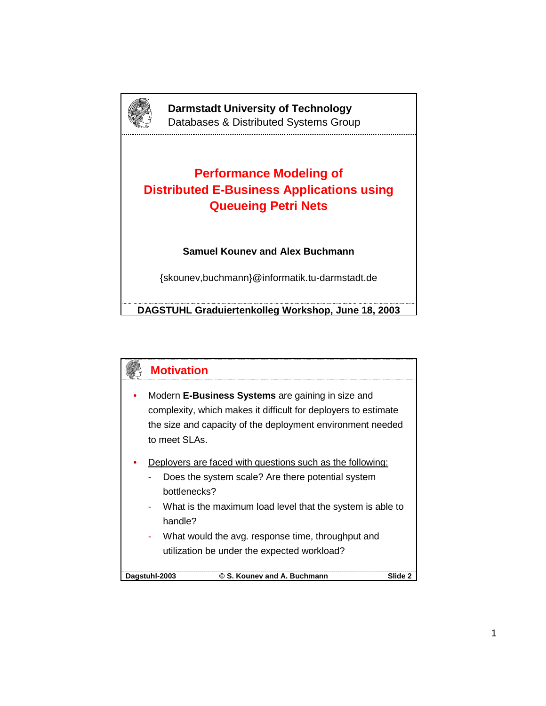

**Darmstadt University of Technology** Databases & Distributed Systems Group

## **Performance Modeling of Distributed E-Business Applications using Queueing Petri Nets**

## **Samuel Kounev and Alex Buchmann**

{skounev,buchmann}@informatik.tu-darmstadt.de

**DAGSTUHL Graduiertenkolleg Workshop, June 18, 2003**

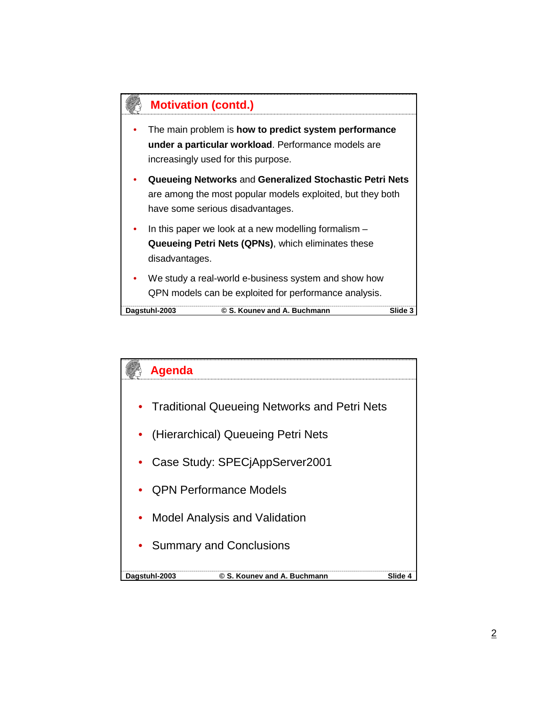

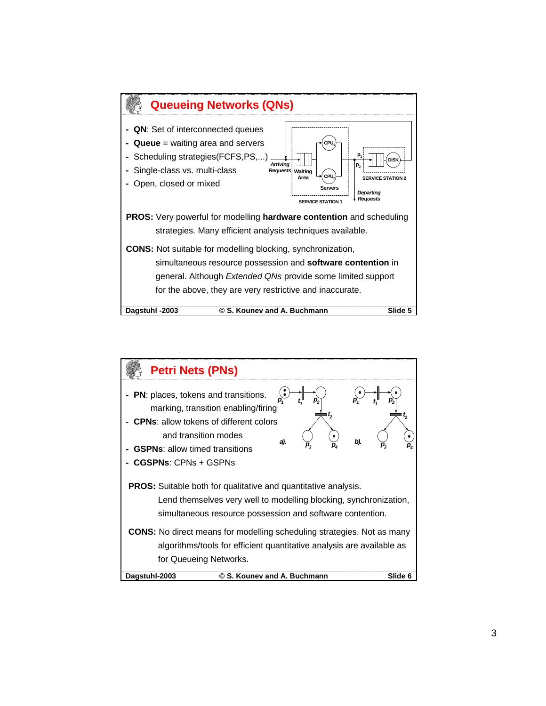

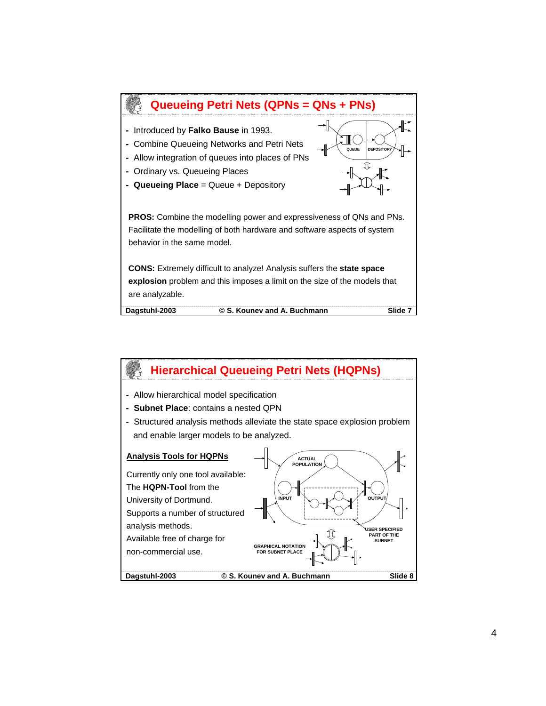

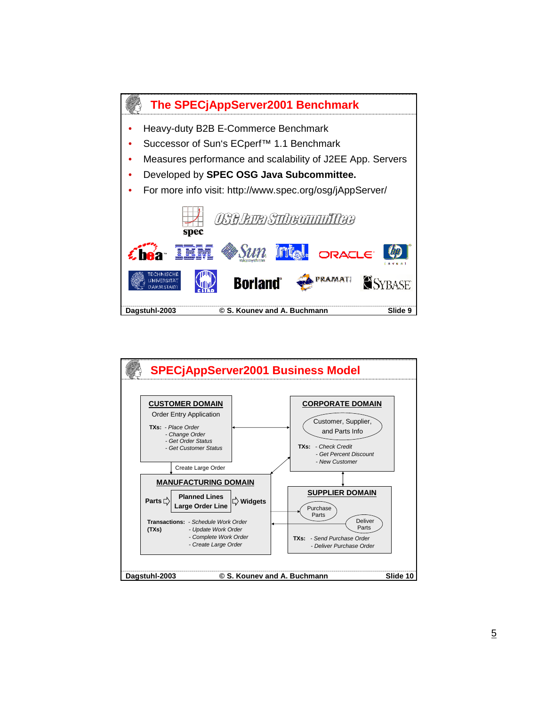

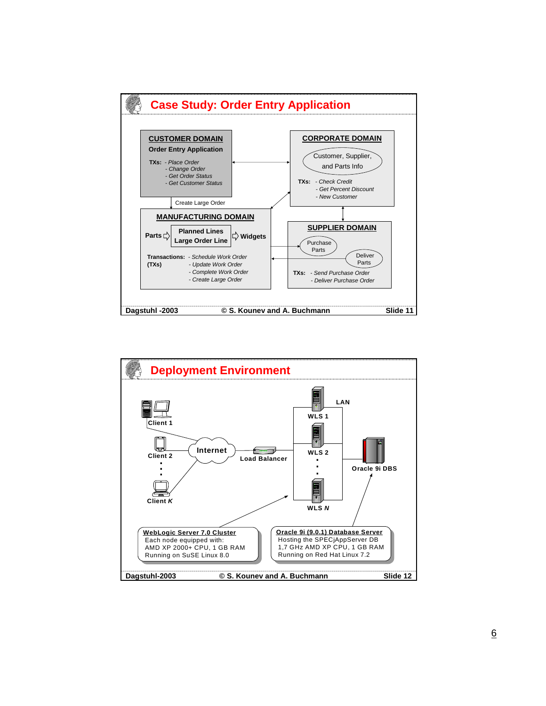

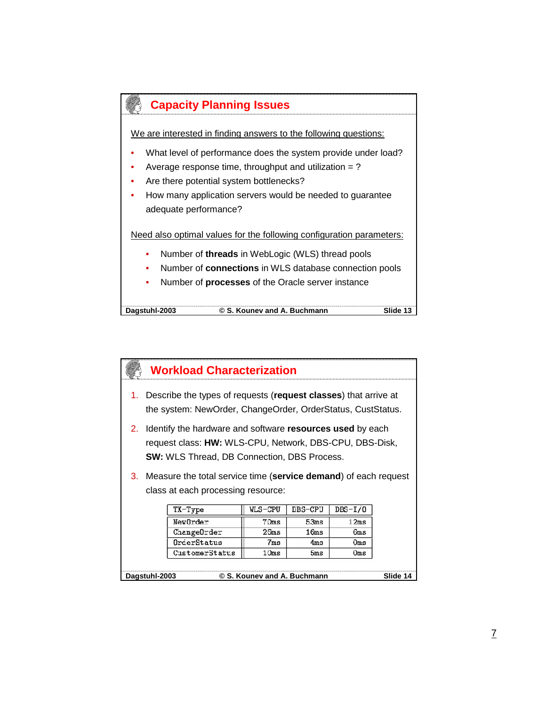

**Dagstuhl-2003 © S. Kounev and A. Buchmann Slide 13**

|                                                          | <b>Workload Characterization</b>                                                                                                                                              |         |         |           |  |  |  |  |
|----------------------------------------------------------|-------------------------------------------------------------------------------------------------------------------------------------------------------------------------------|---------|---------|-----------|--|--|--|--|
| 1.                                                       | Describe the types of requests (request classes) that arrive at<br>the system: NewOrder, ChangeOrder, OrderStatus, CustStatus.                                                |         |         |           |  |  |  |  |
|                                                          | 2. Identify the hardware and software resources used by each<br>request class: HW: WLS-CPU, Network, DBS-CPU, DBS-Disk,<br><b>SW:</b> WLS Thread, DB Connection, DBS Process. |         |         |           |  |  |  |  |
| 3.                                                       | Measure the total service time (service demand) of each request<br>class at each processing resource:                                                                         |         |         |           |  |  |  |  |
|                                                          | TX-Type                                                                                                                                                                       | WLS-CPU | DBS-CPU | $DBS-I/O$ |  |  |  |  |
|                                                          | NewOrder<br>12ms<br>70ms<br>53ms                                                                                                                                              |         |         |           |  |  |  |  |
|                                                          | ChangeOrder<br>16ms<br>26ms<br>6ms                                                                                                                                            |         |         |           |  |  |  |  |
|                                                          | OrderStatus<br>7ms<br>4ms<br>Oms                                                                                                                                              |         |         |           |  |  |  |  |
|                                                          | CustomerStatus<br>10ms<br>5ms<br>Oms                                                                                                                                          |         |         |           |  |  |  |  |
| © S. Kounev and A. Buchmann<br>Slide 14<br>Dagstuhl-2003 |                                                                                                                                                                               |         |         |           |  |  |  |  |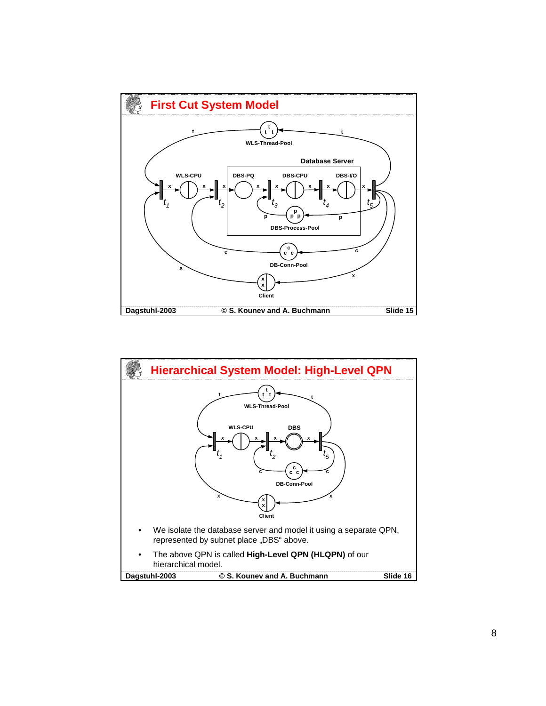

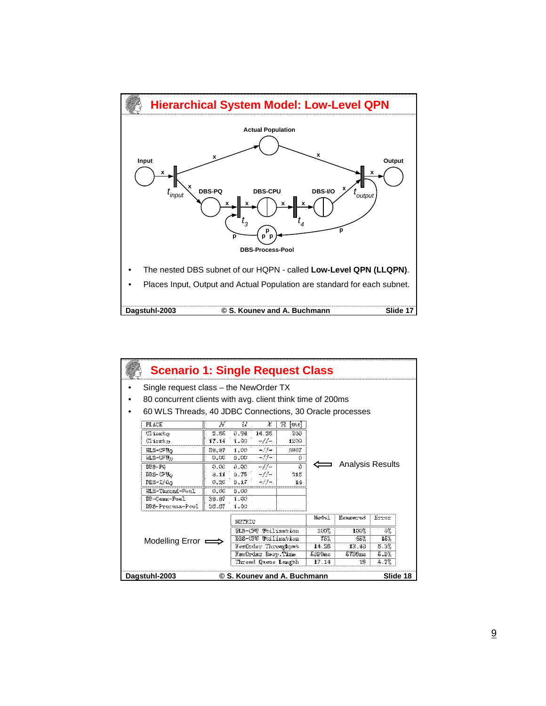

| <b>Scenario 1: Single Request Class</b>                  |                                                                                                                                                                                                                                     |       |        |                     |      |       |          |       |  |
|----------------------------------------------------------|-------------------------------------------------------------------------------------------------------------------------------------------------------------------------------------------------------------------------------------|-------|--------|---------------------|------|-------|----------|-------|--|
|                                                          | Single request class – the NewOrder TX                                                                                                                                                                                              |       |        |                     |      |       |          |       |  |
|                                                          | 80 concurrent clients with avg. client think time of 200ms                                                                                                                                                                          |       |        |                     |      |       |          |       |  |
|                                                          | 60 WLS Threads, 40 JDBC Connections, 30 Oracle processes                                                                                                                                                                            |       |        |                     |      |       |          |       |  |
|                                                          | <b>PLACE</b><br>X<br>$\mathcal R$<br>N<br>$\mathcal{U}$<br>ms                                                                                                                                                                       |       |        |                     |      |       |          |       |  |
|                                                          | Client <sub>O</sub>                                                                                                                                                                                                                 | 2.85  | 0.94   | 14.28               | 200  |       |          |       |  |
|                                                          | Client <sub>D</sub>                                                                                                                                                                                                                 | 17.14 | 1.00   | $-1/$               | 1200 |       |          |       |  |
|                                                          | $WLS-CPUO$                                                                                                                                                                                                                          | 56.67 | 1.00   | $-1/1-$             | 3967 |       |          |       |  |
|                                                          | $-1/1-$<br>$WLS$ -CPU <sub>D</sub><br>0.00<br>0.00<br>0<br><b>Analysis Results</b><br>$-1/1-$<br>DBS-PQ<br>0.00<br>0.00<br>$\Omega$<br>$DBS$ -CPU $O$<br>0.75<br>$-1/$<br>3.11<br>218<br>$DBS-I/O_O$<br>$-1/$<br>0.20<br>0.17<br>14 |       |        |                     |      |       |          |       |  |
|                                                          |                                                                                                                                                                                                                                     |       |        |                     |      |       |          |       |  |
|                                                          |                                                                                                                                                                                                                                     |       |        |                     |      |       |          |       |  |
|                                                          |                                                                                                                                                                                                                                     |       |        |                     |      |       |          |       |  |
|                                                          | WLS-Thread-Pool                                                                                                                                                                                                                     | 0.00  | 0.00   |                     |      |       |          |       |  |
|                                                          | DB-Conn-Pool                                                                                                                                                                                                                        | 36.67 | 1.00   |                     |      |       |          |       |  |
|                                                          | DBS-Process-Pool                                                                                                                                                                                                                    | 26.67 | 1.00   |                     |      |       |          |       |  |
|                                                          |                                                                                                                                                                                                                                     |       | METRIC |                     |      | Model | Measured | Error |  |
|                                                          |                                                                                                                                                                                                                                     |       |        | WLS-CPU Utilization |      | 100%  | 100%     | 0%    |  |
|                                                          | DBS-CPU Utilization<br>15%<br>75%<br>65%<br>Modelling Error $\equiv$                                                                                                                                                                |       |        |                     |      |       |          |       |  |
|                                                          | NewOrder Throughput<br>14.28<br>13.43<br>6.3%                                                                                                                                                                                       |       |        |                     |      |       |          |       |  |
|                                                          | NewOrder Resp.Time<br>5.9%<br>5399ms<br>5738ms                                                                                                                                                                                      |       |        |                     |      |       |          |       |  |
|                                                          |                                                                                                                                                                                                                                     |       |        | Thread Queue Length |      | 17.14 | 18       | 4.7%  |  |
| Dagstuhl-2003<br>© S. Kounev and A. Buchmann<br>Slide 18 |                                                                                                                                                                                                                                     |       |        |                     |      |       |          |       |  |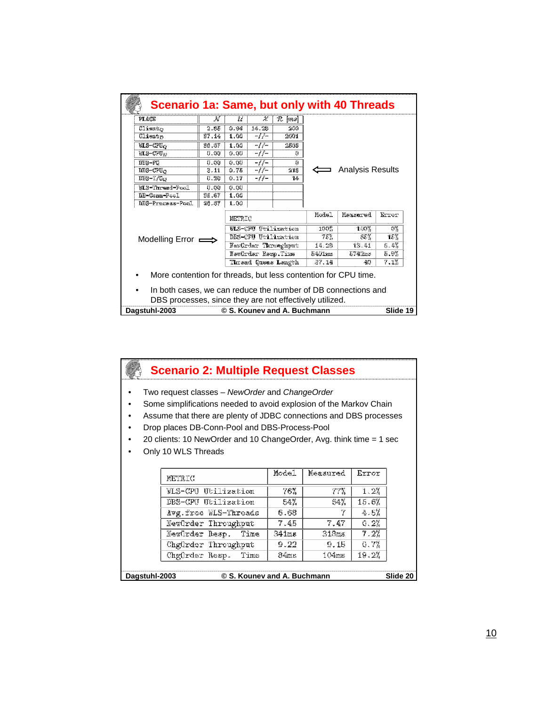| <b>Scenario 1a: Same, but only with 40 Threads</b>             |                                      |      |                    |                     |        |                         |      |  |  |  |
|----------------------------------------------------------------|--------------------------------------|------|--------------------|---------------------|--------|-------------------------|------|--|--|--|
| <b>PLACE</b>                                                   | N                                    | U    | χ                  | R<br>$ m_{s} $      |        |                         |      |  |  |  |
| Client <sub>O</sub>                                            | 2.85                                 | 0.94 | 14.28              | 200                 |        |                         |      |  |  |  |
| Client <sub>D</sub>                                            | 37.14                                | 1.00 | $-1/$              | 2601                |        |                         |      |  |  |  |
| $WLS$ -CPU $O$                                                 | 36.67                                | 1.00 | $-1/$              | 2568                |        |                         |      |  |  |  |
| $WLS$ -CPU <sub>D</sub>                                        | 0.00                                 | 0.00 | $-1/$              | 0                   |        |                         |      |  |  |  |
| DBS-PQ                                                         | 0.00                                 | 0.00 | $-1/-$             | $\Omega$            |        |                         |      |  |  |  |
| $DBS$ -CPU $_{O}$                                              | 3.11                                 | 0.75 | $-1/$              | 218                 |        | <b>Analysis Results</b> |      |  |  |  |
| $DBS-I/O_O$                                                    | 0.20                                 | 0.17 | $-1/$              | 14                  |        |                         |      |  |  |  |
| WLS-Thread-Pool                                                | 0.00                                 | 0.00 |                    |                     |        |                         |      |  |  |  |
| DB-Conn-Pool                                                   | 36.67                                | 1.00 |                    |                     |        |                         |      |  |  |  |
| DBS-Process-Pool                                               | 26.67                                | 1.00 |                    |                     |        |                         |      |  |  |  |
|                                                                | Model<br>Measured<br>Error<br>METRIC |      |                    |                     |        |                         |      |  |  |  |
|                                                                |                                      |      |                    | WLS-CPU Utilization | 100%   | 100%                    | 0%   |  |  |  |
| Modelling Error $\equiv$                                       |                                      |      |                    | DBS-CPU Utilization | 75%    | 65%                     | 15%  |  |  |  |
|                                                                |                                      |      |                    | NewOrder Throughput | 14.28  | 13.41                   | 6.4% |  |  |  |
|                                                                |                                      |      | NewOrder Resp.Time |                     | 5401ms | 5742ms                  | 5.9% |  |  |  |
|                                                                |                                      |      |                    | Thread Queue Length | 37.14  | 40                      | 7.1% |  |  |  |
| More contention for threads, but less contention for CPU time. |                                      |      |                    |                     |        |                         |      |  |  |  |
| In both cases, we can reduce the number of DB connections and  |                                      |      |                    |                     |        |                         |      |  |  |  |
|                                                                |                                      |      |                    |                     |        |                         |      |  |  |  |
| DBS processes, since they are not effectively utilized.        |                                      |      |                    |                     |        |                         |      |  |  |  |
| Dagstuhl-2003<br>Slide 19<br>© S. Kounev and A. Buchmann       |                                      |      |                    |                     |        |                         |      |  |  |  |

| <b>Scenario 2: Multiple Request Classes</b>                                                                                                                                                |                                                                     |       |          |       |  |  |  |  |
|--------------------------------------------------------------------------------------------------------------------------------------------------------------------------------------------|---------------------------------------------------------------------|-------|----------|-------|--|--|--|--|
| Two request classes – NewOrder and ChangeOrder<br>Some simplifications needed to avoid explosion of the Markov Chain<br>Assume that there are plenty of JDBC connections and DBS processes |                                                                     |       |          |       |  |  |  |  |
|                                                                                                                                                                                            | Drop places DB-Conn-Pool and DBS-Process-Pool                       |       |          |       |  |  |  |  |
|                                                                                                                                                                                            | 20 clients: 10 NewOrder and 10 ChangeOrder, Avg. think time = 1 sec |       |          |       |  |  |  |  |
|                                                                                                                                                                                            | Only 10 WLS Threads                                                 |       |          |       |  |  |  |  |
|                                                                                                                                                                                            |                                                                     |       |          |       |  |  |  |  |
|                                                                                                                                                                                            | METRIC                                                              | Model | Measured | Error |  |  |  |  |
|                                                                                                                                                                                            | WLS-CPU Utilization                                                 | 76%   | 77%      | 1.2%  |  |  |  |  |
|                                                                                                                                                                                            | 15.6%<br>DBS-CPU Utilization<br>54%<br>64%                          |       |          |       |  |  |  |  |
|                                                                                                                                                                                            | 7<br>4.5%<br>6.68<br>Avg.free WLS-Threads                           |       |          |       |  |  |  |  |
|                                                                                                                                                                                            | 0.2%<br>NewOrder Throughput<br>7.47<br>7.45                         |       |          |       |  |  |  |  |
|                                                                                                                                                                                            | 7.2%<br>341ms<br>318ms<br>NewOrder Resp.<br>Time                    |       |          |       |  |  |  |  |
|                                                                                                                                                                                            | ChgOrder Throughput                                                 | 9.22  | 9.15     | 0.7%  |  |  |  |  |
| 19.2%<br>ChgOrder Resp.<br>104ms<br>Time<br>84ms                                                                                                                                           |                                                                     |       |          |       |  |  |  |  |
| Slide 20<br>Dagstuhl-2003<br>© S. Kounev and A. Buchmann                                                                                                                                   |                                                                     |       |          |       |  |  |  |  |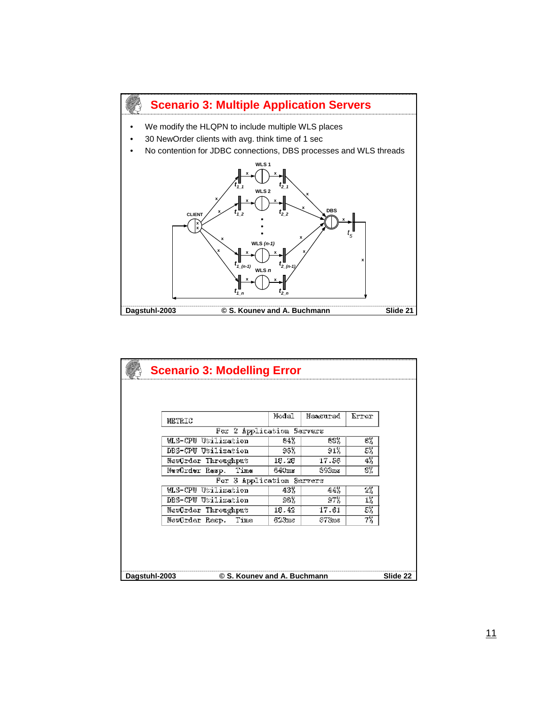

|                                                          | <b>Scenario 3: Modelling Error</b> |       |          |       |  |  |  |
|----------------------------------------------------------|------------------------------------|-------|----------|-------|--|--|--|
|                                                          |                                    |       |          |       |  |  |  |
|                                                          |                                    |       |          |       |  |  |  |
|                                                          | METRIC                             | Model | Measured | Error |  |  |  |
|                                                          | For 2 Application Servers          |       |          |       |  |  |  |
|                                                          | WLS-CPU Utilization                | 64%   | 68%      | 6%    |  |  |  |
|                                                          | DBS-CPU Utilization                | 96%   | 91%      | 5%    |  |  |  |
|                                                          | NewOrder Throughput                | 18.28 | 17.56    | 4%    |  |  |  |
|                                                          | NewOrder Resp. Time                | 640ms | 693ms    | 8%    |  |  |  |
|                                                          | For 3 Application Servers          |       |          |       |  |  |  |
|                                                          | WLS-CPU Utilization                | 43%   | 44%      | 2%    |  |  |  |
|                                                          | DBS-CPU Utilization                | 98%   | 97%      | 1%    |  |  |  |
|                                                          | NewOrder Throughput                | 18.42 | 17.61    | 5%    |  |  |  |
|                                                          | Time<br>NewOrder Resp.             | 623ms | 673ms    | 7%    |  |  |  |
|                                                          |                                    |       |          |       |  |  |  |
|                                                          |                                    |       |          |       |  |  |  |
|                                                          |                                    |       |          |       |  |  |  |
|                                                          |                                    |       |          |       |  |  |  |
| © S. Kounev and A. Buchmann<br>Slide 22<br>Dagstuhl-2003 |                                    |       |          |       |  |  |  |